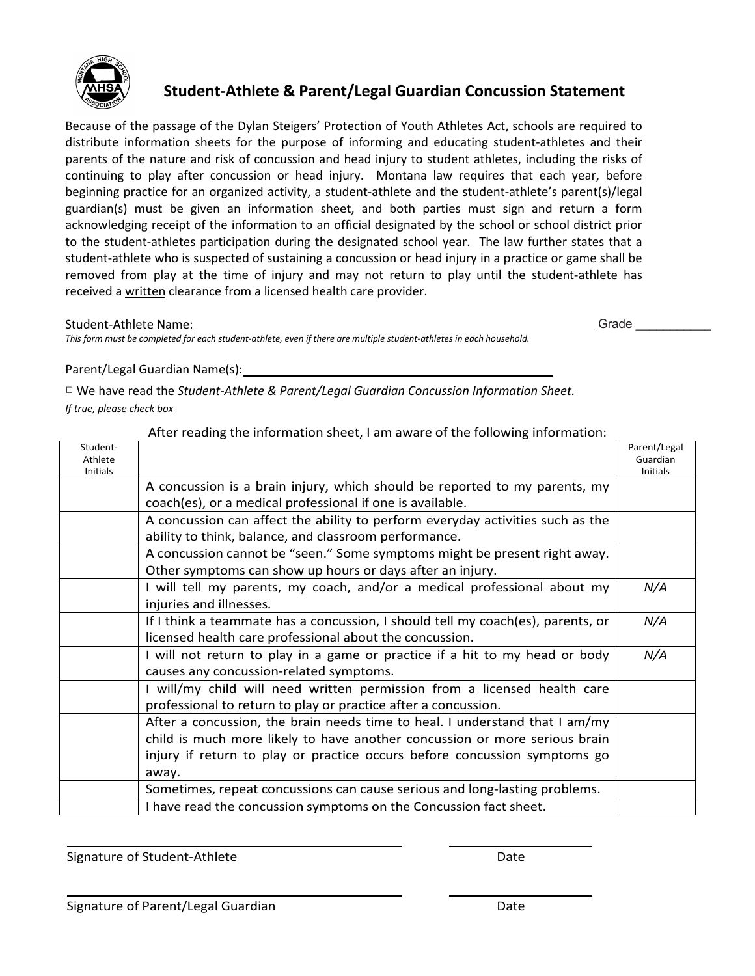

# **Student-Athlete & Parent/Legal Guardian Concussion Statement Student-Athlete & Parent/Legal Guardian Concussion Statement**

Because of the passage of the Dylan Steigers' Protection of Youth Athletes Act, schools are required to Because of the passage of the Dylan Steigers' Protection of Youth Athletes Act, schools are required to distribute information sheets for the purpose of informing and educating student-athletes and their distribute information sheets for the purpose of informing and educating student-athletes and their parents of the nature and risk of concussion and head injury to student athletes, including the risks of parents of the nature and risk of concussion and head injury to student athletes, including the risks of continuing to play after concussion or head injury. Montana law requires that each year, before continuing to play after concussion or head injury. Montana law requires that each year, before beginning practice for an organized activity, a student-athlete and the student-athlete's parent(s)/legal beginning practice for an organized activity, a student-athlete and the student-athlete's parent(s)/legal guardian(s) must be given an information sheet, and both parties must sign and return a form guardian(s) must be given an information sheet, and both parties must sign and return a form acknowledging receipt of the information to an official designated by the school or school district prior acknowledging receipt of the information to an official designated by the school or school district prior to the student-athletes participation during the designated school year. The law further states that a to the student-athletes participation during the designated school year. The law further states that a student-athlete who is suspected of sustaining a concussion or head injury in a practice or game shall be student-athlete who is suspected of sustaining a concussion or head injury in a practice or game shall be removed from play at the time of injury and may not return to play until the student-athlete has removed from play at the time of injury and may not return to play until the student-athlete has received a written clearance from a licensed health care provider. received a written clearance from a licensed health care provider.

## Student-Athlete Name: Student-Athlete Name:

Grade

этаасти-Atmete warne.<br>This form must be completed for each student-athlete, even if there are multiple student-athletes in each household.

## Parent/Legal Guardian Name(s): Parent/Legal Guardian Name(s):

□ We have read the *Student-Athlete & Parent/Legal Guardian Concussion Information Sheet.* □ We have read the *Student-Athlete & Parent/Legal Guardian Concussion Information Sheet. If true, please check box If true, please check box*

| Student-                   |                                                                                 | Parent/Legal                |
|----------------------------|---------------------------------------------------------------------------------|-----------------------------|
| Athlete<br><b>Initials</b> |                                                                                 | Guardian<br><b>Initials</b> |
|                            | A concussion is a brain injury, which should be reported to my parents, my      |                             |
|                            | coach(es), or a medical professional if one is available.                       |                             |
|                            | A concussion can affect the ability to perform everyday activities such as the  |                             |
|                            | ability to think, balance, and classroom performance.                           |                             |
|                            | A concussion cannot be "seen." Some symptoms might be present right away.       |                             |
|                            | Other symptoms can show up hours or days after an injury.                       |                             |
|                            | I will tell my parents, my coach, and/or a medical professional about my        | N/A                         |
|                            | injuries and illnesses.                                                         |                             |
|                            | If I think a teammate has a concussion, I should tell my coach(es), parents, or | N/A                         |
|                            | licensed health care professional about the concussion.                         |                             |
|                            | I will not return to play in a game or practice if a hit to my head or body     | N/A                         |
|                            | causes any concussion-related symptoms.                                         |                             |
|                            | I will/my child will need written permission from a licensed health care        |                             |
|                            | professional to return to play or practice after a concussion.                  |                             |
|                            | After a concussion, the brain needs time to heal. I understand that I am/my     |                             |
|                            | child is much more likely to have another concussion or more serious brain      |                             |
|                            | injury if return to play or practice occurs before concussion symptoms go       |                             |
|                            | away.                                                                           |                             |
|                            | Sometimes, repeat concussions can cause serious and long-lasting problems.      |                             |
|                            | I have read the concussion symptoms on the Concussion fact sheet.               |                             |

After reading the information sheet, I am aware of the following information: After reading the information sheet, I am aware of the following information:

Signature of Student-Athlete **Date** Date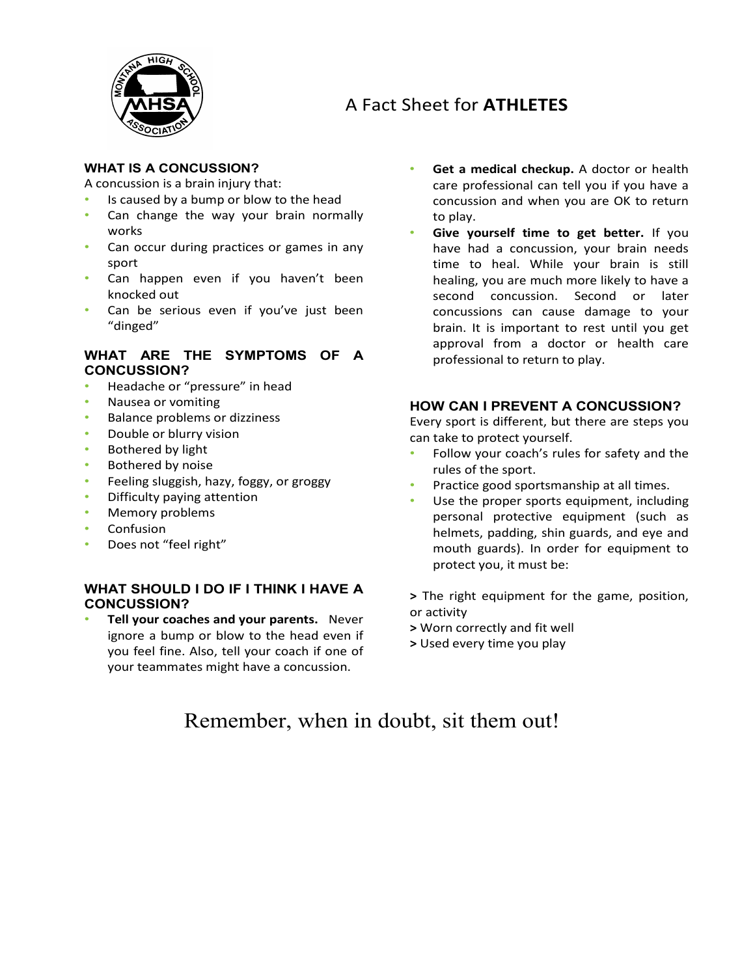

## A Fact Sheet for **ATHLETES**

### **WHAT IS A CONCUSSION?**

A concussion is a brain injury that:

- Is caused by a bump or blow to the head
- Can change the way your brain normally works
- Can occur during practices or games in any sport
- Can happen even if you haven't been knocked out
- Can be serious even if you've just been "dinged"

#### **WHAT ARE THE SYMPTOMS OF A CONCUSSION?**

- Headache or "pressure" in head
- Nausea or vomiting
- Balance problems or dizziness
- Double or blurry vision
- Bothered by light
- Bothered by noise
- Feeling sluggish, hazy, foggy, or groggy
- Difficulty paying attention
- Memory problems
- **Confusion**
- Does not "feel right"

#### **WHAT SHOULD I DO IF I THINK I HAVE A CONCUSSION?**

• **Tell your coaches and your parents.** Never ignore a bump or blow to the head even if you feel fine. Also, tell your coach if one of your teammates might have a concussion.

- **Get a medical checkup.** A doctor or health care professional can tell you if you have a concussion and when you are OK to return to play.
- **Give yourself time to get better.** If you have had a concussion, your brain needs time to heal. While your brain is still healing, you are much more likely to have a second concussion. Second or later concussions can cause damage to your brain. It is important to rest until you get approval from a doctor or health care professional to return to play.

#### **HOW CAN I PREVENT A CONCUSSION?**

Every sport is different, but there are steps you can take to protect yourself.

- Follow your coach's rules for safety and the rules of the sport.
- Practice good sportsmanship at all times.
- Use the proper sports equipment, including personal protective equipment (such as helmets, padding, shin guards, and eye and mouth guards). In order for equipment to protect you, it must be:
- **>** The right equipment for the game, position, or activity
- **>** Worn correctly and fit well
- **>** Used every time you play

## Remember, when in doubt, sit them out!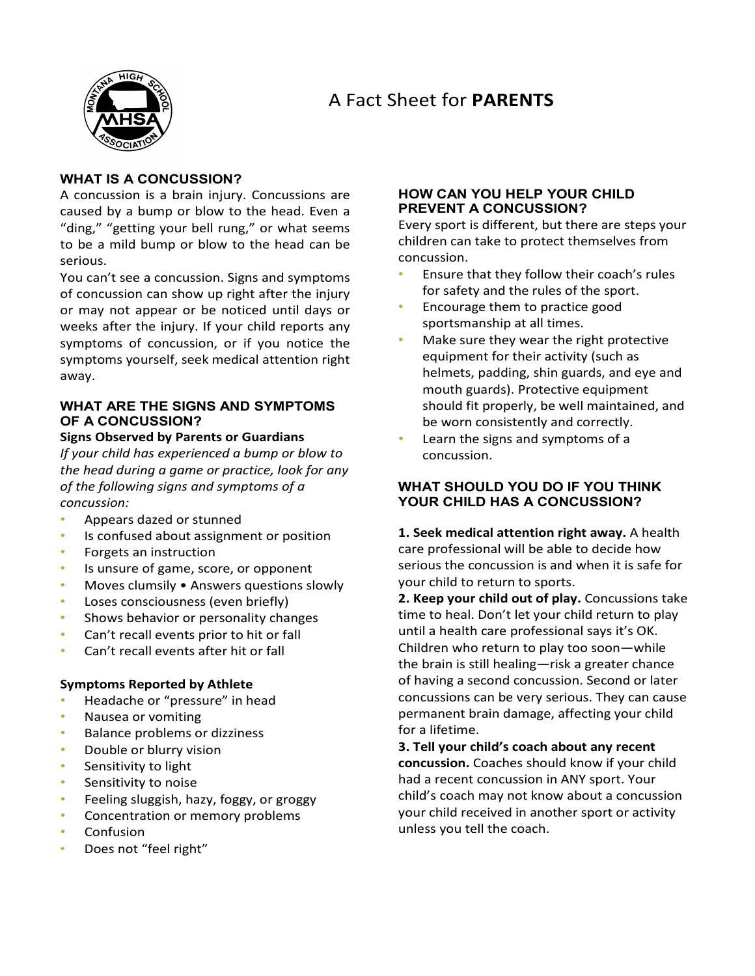## A Fact Sheet for **PARENTS**



### **WHAT IS A CONCUSSION?**

A concussion is a brain injury. Concussions are caused by a bump or blow to the head. Even a "ding," "getting your bell rung," or what seems to be a mild bump or blow to the head can be serious.

You can't see a concussion. Signs and symptoms of concussion can show up right after the injury or may not appear or be noticed until days or weeks after the injury. If your child reports any symptoms of concussion, or if you notice the symptoms yourself, seek medical attention right away.

### **WHAT ARE THE SIGNS AND SYMPTOMS OF A CONCUSSION?**

**Signs Observed by Parents or Guardians**  *If your child has experienced a bump or blow to* 

*the head during a game or practice, look for any of the following signs and symptoms of a concussion:* 

- Appears dazed or stunned
- Is confused about assignment or position
- Forgets an instruction
- Is unsure of game, score, or opponent
- Moves clumsily Answers questions slowly
- Loses consciousness (even briefly)
- Shows behavior or personality changes
- Can't recall events prior to hit or fall
- Can't recall events after hit or fall

#### **Symptoms Reported by Athlete**

- Headache or "pressure" in head
- Nausea or vomiting
- Balance problems or dizziness
- Double or blurry vision
- Sensitivity to light
- Sensitivity to noise
- Feeling sluggish, hazy, foggy, or groggy
- Concentration or memory problems
- Confusion
- Does not "feel right"

### **HOW CAN YOU HELP YOUR CHILD PREVENT A CONCUSSION?**

Every sport is different, but there are steps your children can take to protect themselves from concussion.

- Ensure that they follow their coach's rules for safety and the rules of the sport.
- Encourage them to practice good sportsmanship at all times.
- Make sure they wear the right protective equipment for their activity (such as helmets, padding, shin guards, and eye and mouth guards). Protective equipment should fit properly, be well maintained, and be worn consistently and correctly.
- Learn the signs and symptoms of a concussion.

### **WHAT SHOULD YOU DO IF YOU THINK YOUR CHILD HAS A CONCUSSION?**

**1. Seek medical attention right away.** A health care professional will be able to decide how serious the concussion is and when it is safe for your child to return to sports.

**2. Keep your child out of play.** Concussions take time to heal. Don't let your child return to play until a health care professional says it's OK. Children who return to play too soon—while the brain is still healing—risk a greater chance of having a second concussion. Second or later concussions can be very serious. They can cause permanent brain damage, affecting your child for a lifetime.

**3. Tell your child's coach about any recent concussion.** Coaches should know if your child had a recent concussion in ANY sport. Your child's coach may not know about a concussion your child received in another sport or activity unless you tell the coach.